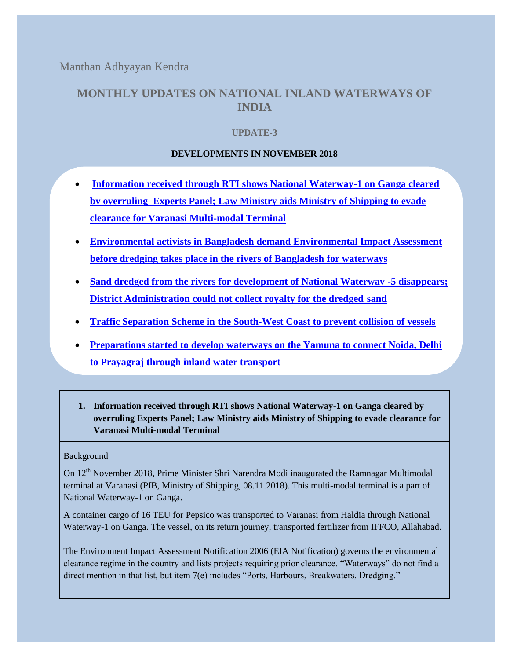Manthan Adhyayan Kendra

# **MONTHLY UPDATES ON NATIONAL INLAND WATERWAYS OF INDIA**

# **UPDATE-3**

## **DEVELOPMENTS IN NOVEMBER 2018**

- **[Information received through RTI shows National Waterway-1 on Ganga cleared](#page-0-0)  [by overruling Experts Panel; Law Ministry aids Ministry of Shipping to evade](#page-0-0)  [clearance for Varanasi Multi-modal Terminal](#page-0-0)**
- **[Environmental activists in Bangladesh demand Environmental Impact Assessment](#page-1-0)  [before dredging takes place in the rivers of Bangladesh](#page-1-0) for waterways**
- **[Sand dredged from the rivers for development of National Waterway -5 disappears;](#page-2-0)  [District Administration could not collect royalty for the dredged](#page-2-0) sand**
- **[Traffic Separation Scheme in the South-West Coast to prevent collision of vessels](#page-3-0)**
- **[Preparations started to develop waterways on the Yamuna to connect Noida, Delhi](#page-3-1)  [to Prayagraj through inland water transport](#page-3-1)**
- <span id="page-0-0"></span>**1. Information received through RTI shows National Waterway-1 on Ganga cleared by overruling Experts Panel; Law Ministry aids Ministry of Shipping to evade clearance for Varanasi Multi-modal Terminal**

### Background

On 12<sup>th</sup> November 2018, Prime Minister Shri Narendra Modi inaugurated the Ramnagar Multimodal terminal at Varanasi (PIB, Ministry of Shipping, 08.11.2018). This multi-modal terminal is a part of National Waterway-1 on Ganga.

A container cargo of 16 TEU for Pepsico was transported to Varanasi from Haldia through National Waterway-1 on Ganga. The vessel, on its return journey, transported fertilizer from IFFCO, Allahabad.

The Environment Impact Assessment Notification 2006 (EIA Notification) governs the environmental clearance regime in the country and lists projects requiring prior clearance. "Waterways" do not find a direct mention in that list, but item 7(e) includes "Ports, Harbours, Breakwaters, Dredging."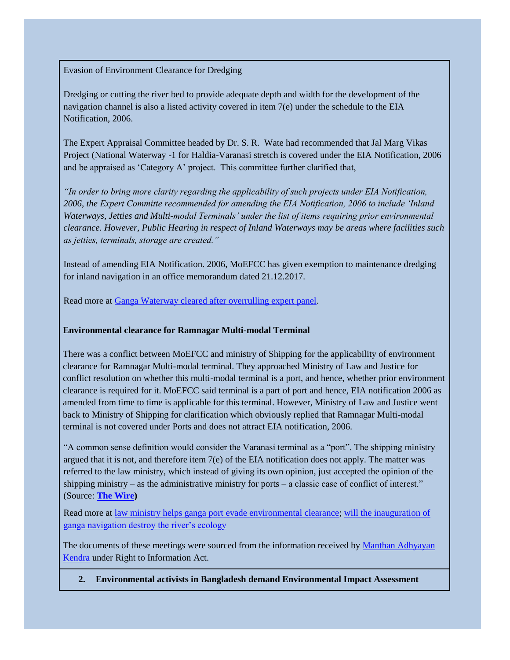Evasion of Environment Clearance for Dredging

Dredging or cutting the river bed to provide adequate depth and width for the development of the navigation channel is also a listed activity covered in item 7(e) under the schedule to the EIA Notification, 2006.

The Expert Appraisal Committee headed by Dr. S. R. Wate had recommended that Jal Marg Vikas Project (National Waterway -1 for Haldia-Varanasi stretch is covered under the EIA Notification, 2006 and be appraised as 'Category A' project. This committee further clarified that,

*"In order to bring more clarity regarding the applicability of such projects under EIA Notification, 2006, the Expert Committe recommended for amending the EIA Notification, 2006 to include 'Inland Waterways, Jetties and Multi-modal Terminals' under the list of items requiring prior environmental clearance. However, Public Hearing in respect of Inland Waterways may be areas where facilities such as jetties, terminals, storage are created."* 

Instead of amending EIA Notification. 2006, MoEFCC has given exemption to maintenance dredging for inland navigation in an office memorandum dated 21.12.2017.

Read more at [Ganga Waterway cleared after overrulling expert panel.](https://www.thehindu.com/news/national/ganga-waterway-project-cleared-after-overruling-expert-panel/article25528142.ece)

### **Environmental clearance for Ramnagar Multi-modal Terminal**

There was a conflict between MoEFCC and ministry of Shipping for the applicability of environment clearance for Ramnagar Multi-modal terminal. They approached Ministry of Law and Justice for conflict resolution on whether this multi-modal terminal is a port, and hence, whether prior environment clearance is required for it. MoEFCC said terminal is a part of port and hence, EIA notification 2006 as amended from time to time is applicable for this terminal. However, Ministry of Law and Justice went back to Ministry of Shipping for clarification which obviously replied that Ramnagar Multi-modal terminal is not covered under Ports and does not attract EIA notification, 2006.

"A common sense definition would consider the Varanasi terminal as a "port". The shipping ministry argued that it is not, and therefore item  $7(e)$  of the EIA notification does not apply. The matter was referred to the law ministry, which instead of giving its own opinion, just accepted the opinion of the shipping ministry – as the administrative ministry for ports – a classic case of conflict of interest." (Source: **[The Wire\)](https://thewire.in/environment/inland-waterways-flagship-project-varanasi-ganga-environment)**

Read more at <u>law ministry helps ganga port evade environmental clearance; will the inauguration of</u> [ganga navigation destroy the river's ecology](https://www.downtoearth.org.in/news/water/will-the-inauguration-of-ganga-navigation-destroy-the-river-s-ecology--62113)

The documents of these meetings were sourced from the information received by Manthan Adhyayan [Kendra](http://www.manthan-india.org/) under Right to Information Act.

<span id="page-1-0"></span>**2. Environmental activists in Bangladesh demand Environmental Impact Assessment**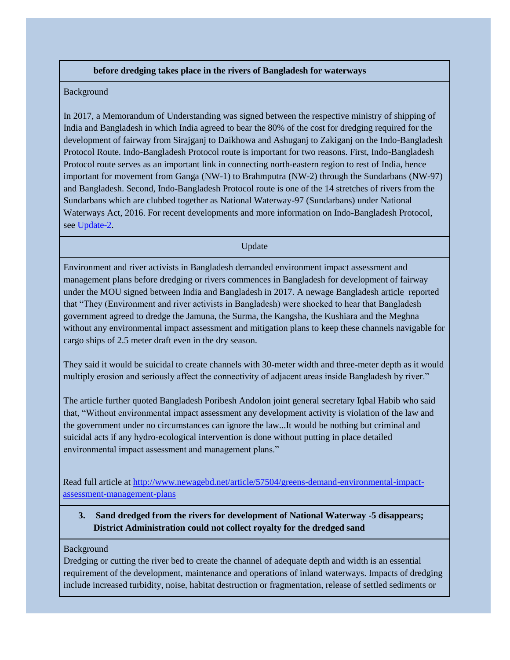### **before dredging takes place in the rivers of Bangladesh for waterways**

#### Background

In 2017, a Memorandum of Understanding was signed between the respective ministry of shipping of India and Bangladesh in which India agreed to bear the 80% of the cost for dredging required for the development of fairway from Sirajganj to Daikhowa and Ashuganj to Zakiganj on the Indo-Bangladesh Protocol Route. Indo-Bangladesh Protocol route is important for two reasons. First, Indo-Bangladesh Protocol route serves as an important link in connecting north-eastern region to rest of India, hence important for movement from Ganga (NW-1) to Brahmputra (NW-2) through the Sundarbans (NW-97) and Bangladesh. Second, Indo-Bangladesh Protocol route is one of the 14 stretches of rivers from the Sundarbans which are clubbed together as National Waterway-97 (Sundarbans) under National Waterways Act, 2016. For recent developments and more information on Indo-Bangladesh Protocol, see [Update-2.](http://www.manthan-india.org/wp-content/uploads/2018/11/October-2018-waterway-update.pdf)

Update

Environment and river activists in Bangladesh demanded environment impact assessment and management plans before dredging or rivers commences in Bangladesh for development of fairway under the MOU signed between India and Bangladesh in 2017. A newage Bangladesh [article](http://www.newagebd.net/article/57504/greens-demand-environmental-impact-assessment-management-plans) reported that "They (Environment and river activists in Bangladesh) were shocked to hear that Bangladesh government agreed to dredge the Jamuna, the Surma, the Kangsha, the Kushiara and the Meghna without any environmental impact assessment and mitigation plans to keep these channels navigable for cargo ships of 2.5 meter draft even in the dry season.

They said it would be suicidal to create channels with 30-meter width and three-meter depth as it would multiply erosion and seriously affect the connectivity of adjacent areas inside Bangladesh by river."

The article further quoted Bangladesh Poribesh Andolon joint general secretary Iqbal Habib who said that, "Without environmental impact assessment any development activity is violation of the law and the government under no circumstances can ignore the law...It would be nothing but criminal and suicidal acts if any hydro-ecological intervention is done without putting in place detailed environmental impact assessment and management plans."

Read full article at [http://www.newagebd.net/article/57504/greens-demand-environmental-impact](http://www.newagebd.net/article/57504/greens-demand-environmental-impact-assessment-management-plans)[assessment-management-plans](http://www.newagebd.net/article/57504/greens-demand-environmental-impact-assessment-management-plans)

# <span id="page-2-0"></span>**3. Sand dredged from the rivers for development of National Waterway -5 disappears; District Administration could not collect royalty for the dredged sand**

#### Background

Dredging or cutting the river bed to create the channel of adequate depth and width is an essential requirement of the development, maintenance and operations of inland waterways. Impacts of dredging include increased turbidity, noise, habitat destruction or fragmentation, release of settled sediments or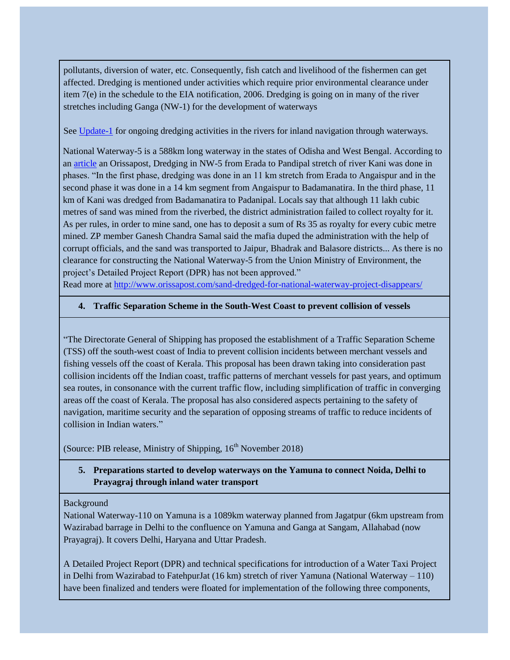pollutants, diversion of water, etc. Consequently, fish catch and livelihood of the fishermen can get affected. Dredging is mentioned under activities which require prior environmental clearance under item 7(e) in the schedule to the EIA notification, 2006. Dredging is going on in many of the river stretches including Ganga (NW-1) for the development of waterways

See [Update-1](http://www.manthan-india.org/wp-content/uploads/2018/10/Inland-waterway-update-Manthan-Sept-2018.pdf) for ongoing dredging activities in the rivers for inland navigation through waterways.

National Waterway-5 is a 588km long waterway in the states of Odisha and West Bengal. According to an [article](http://www.orissapost.com/sand-dredged-for-national-waterway-project-disappears/) an Orissapost, Dredging in NW-5 from Erada to Pandipal stretch of river Kani was done in phases. "In the first phase, dredging was done in an 11 km stretch from Erada to Angaispur and in the second phase it was done in a 14 km segment from Angaispur to Badamanatira. In the third phase, 11 km of Kani was dredged from Badamanatira to Padanipal. Locals say that although 11 lakh cubic metres of sand was mined from the riverbed, the district administration failed to collect royalty for it. As per rules, in order to mine sand, one has to deposit a sum of Rs 35 as royalty for every cubic metre mined. ZP member Ganesh Chandra Samal said the mafia duped the administration with the help of corrupt officials, and the sand was transported to Jaipur, Bhadrak and Balasore districts... As there is no clearance for constructing the National Waterway-5 from the Union Ministry of Environment, the project's Detailed Project Report (DPR) has not been approved."

Read more at<http://www.orissapost.com/sand-dredged-for-national-waterway-project-disappears/>

### <span id="page-3-0"></span>**4. Traffic Separation Scheme in the South-West Coast to prevent collision of vessels**

"The Directorate General of Shipping has proposed the establishment of a Traffic Separation Scheme (TSS) off the south-west coast of India to prevent collision incidents between merchant vessels and fishing vessels off the coast of Kerala. This proposal has been drawn taking into consideration past collision incidents off the Indian coast, traffic patterns of merchant vessels for past years, and optimum sea routes, in consonance with the current traffic flow, including simplification of traffic in converging areas off the coast of Kerala. The proposal has also considered aspects pertaining to the safety of navigation, maritime security and the separation of opposing streams of traffic to reduce incidents of collision in Indian waters."

(Source: PIB release, Ministry of Shipping,  $16<sup>th</sup>$  November 2018)

# <span id="page-3-1"></span>**5. Preparations started to develop waterways on the Yamuna to connect Noida, Delhi to Prayagraj through inland water transport**

### Background

National Waterway-110 on Yamuna is a 1089km waterway planned from Jagatpur (6km upstream from Wazirabad barrage in Delhi to the confluence on Yamuna and Ganga at Sangam, Allahabad (now Prayagraj). It covers Delhi, Haryana and Uttar Pradesh.

A Detailed Project Report (DPR) and technical specifications for introduction of a Water Taxi Project in Delhi from Wazirabad to FatehpurJat (16 km) stretch of river Yamuna (National Waterway – 110) have been finalized and tenders were floated for implementation of the following three components,